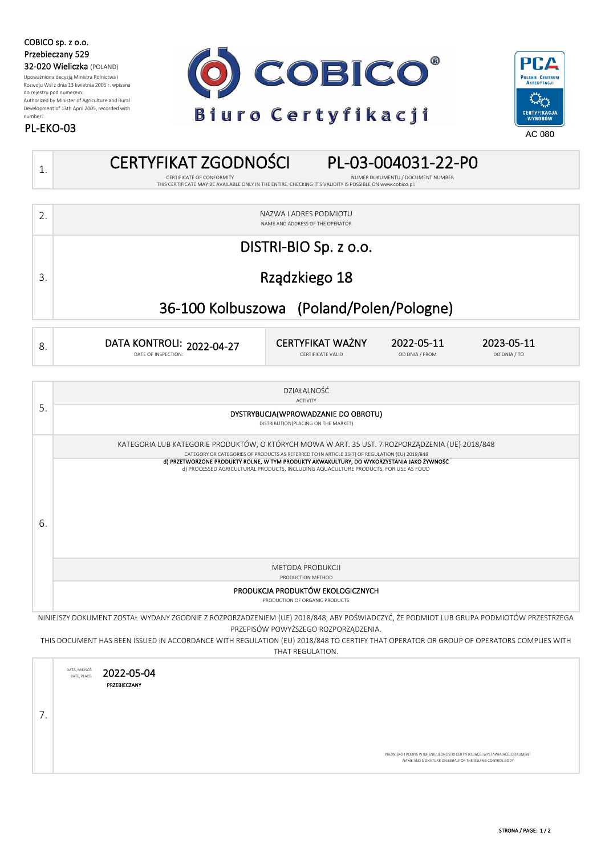COBICO sp. z o.o. Przebieczany 529 32-020 Wieliczka (POLAND)

PL-EKO-03

Upoważniona decyzją Ministra Rolnictwa i Rozwoju Wsi z dnia 13 kwietnia 2005 r. wpisana do rejestru pod numerem: Authorized by Minister of Agriculture and Rural Development of 13th April 2005, recorded with number:





### 2. 1. CERTYFIKAT ZGODNOŚCI PL-03-004031-22-P0 NUMER DOKUMENTU / DOCUMENT NUMBER NAZWA I ADRES PODMIOTU THIS CERTIFICATE MAY BE AVAILABLE ONLY IN THE ENTIRE. CHECKING IT'S VALIDITY IS POSSIBLE ON www.cobico.pl. NAME AND ADDRESS OF THE OPERATOR 3. DISTRI-BIO Sp. z o.o. Rządzkiego 18

### 36-100 Kolbuszowa (Poland/Polen/Pologne)

| DO DNIA / TO<br>OD DNIA / FROM<br><b>CERTIFICATE VALID</b><br>DATE OF INSPECTION: | о. | DATA KONTROLI: 2022-04-27 | <b>CERTYFIKAT WAŻNY</b> | 2022-05-11 | 2023-05-11 |  |
|-----------------------------------------------------------------------------------|----|---------------------------|-------------------------|------------|------------|--|
|-----------------------------------------------------------------------------------|----|---------------------------|-------------------------|------------|------------|--|

| DZIAŁALNOŚĆ |
|-------------|
|-------------|

### DYSTRYBUCJA(WPROWADZANIE DO OBROTU) DISTRIBUTION(PLACING ON THE MARKET) METODA PRODUKCJI 5. 6. PRODUCTION METHOD ACTIVITY KATEGORIA LUB KATEGORIE PRODUKTÓW, O KTÓRYCH MOWA W ART. 35 UST. 7 ROZPORZĄDZENIA (UE) 2018/848 CATEGORY OR CATEGORIES OF PRODUCTS AS REFERRED TO IN ARTICLE 35(7) OF REGULATION (EU) 2018/848 d) PRZETWORZONE PRODUKTY ROLNE, W TYM PRODUKTY AKWAKULTURY, DO WYKORZYSTANIA JAKO ŻYWNOŚĆ d) PROCESSED AGRICULTURAL PRODUCTS, INCLUDING AQUACULTURE PRODUCTS, FOR USE AS FOOD PRODUKCJA PRODUKTÓW EKOLOGICZNYCH PRODUCTION OF ORGANIC PRODUCTS

NINIEJSZY DOKUMENT ZOSTAŁ WYDANY ZGODNIE Z ROZPORZADZENIEM (UE) 2018/848, ABY POŚWIADCZYĆ, ŻE PODMIOT LUB GRUPA PODMIOTÓW PRZESTRZEGA PRZEPISÓW POWYŻSZEGO ROZPORZĄDZENIA.

THIS DOCUMENT HAS BEEN ISSUED IN ACCORDANCE WITH REGULATION (EU) 2018/848 TO CERTIFY THAT OPERATOR OR GROUP OF OPERATORS COMPLIES WITH THAT REGULATION.

DATA, MIEJSCE: DATE, PLACE: .<br>NAJ PODPIS W IMIENIU JEDNOSTKI CERTYFIKUJĄCEJ WYSTAWIAJĄCEJ DOKUMENT NAME AND SIGNATURE ON BEHALF OF THE ISSUING CONTROL BODY 7. PRZEBIECZANY 2022-05-04